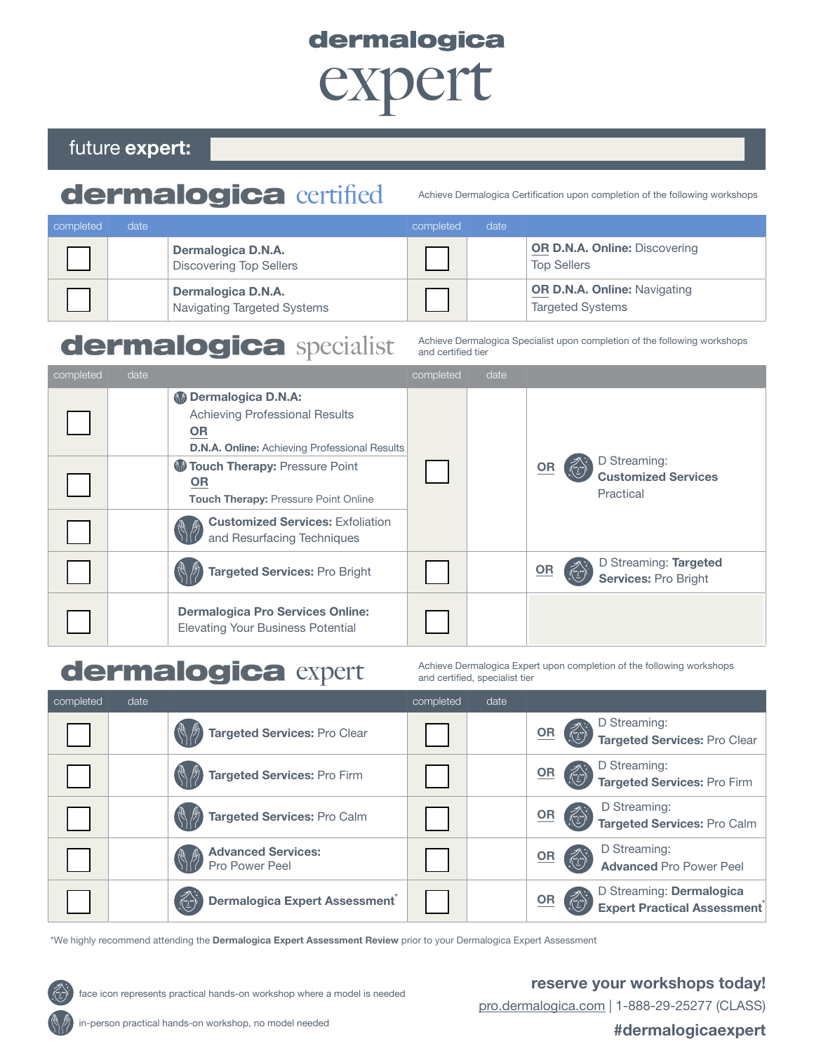# dermalogica<br>
CXDCIT

## future expert:

## dermalogica Certified Achieve Dermalogica Certification upon completion of the following workshops

| completed | date. |                                                   | completed | date |                                                                |
|-----------|-------|---------------------------------------------------|-----------|------|----------------------------------------------------------------|
|           |       | Dermalogica D.N.A.<br>Discovering Top Sellers     |           |      | <b>OR D.N.A. Online: Discovering</b><br><b>Top Sellers</b>     |
|           |       | Dermalogica D.N.A.<br>Navigating Targeted Systems |           |      | <b>OR D.N.A. Online: Navigating</b><br><b>Targeted Systems</b> |

## dermalogica Specialist Achieve Dermalogica Specialist upon completion of the following workshops

and certified tier

| completed | date |                                                                                                                                                                                                                                                                                   | completed | date |                           |                                                         |
|-----------|------|-----------------------------------------------------------------------------------------------------------------------------------------------------------------------------------------------------------------------------------------------------------------------------------|-----------|------|---------------------------|---------------------------------------------------------|
|           |      | <b>M</b> Dermalogica D.N.A:<br><b>Achieving Professional Results</b><br><b>OR</b><br><b>D.N.A. Online:</b> Achieving Professional Results<br>Touch Therapy: Pressure Point<br><b>OR</b><br><b>Touch Therapy: Pressure Point Online</b><br><b>Customized Services: Exfoliation</b> |           |      | $\underline{\mathsf{OR}}$ | D Streaming:<br><b>Customized Services</b><br>Practical |
|           |      | and Resurfacing Techniques                                                                                                                                                                                                                                                        |           |      |                           |                                                         |
|           |      | <b>Targeted Services: Pro Bright</b>                                                                                                                                                                                                                                              |           |      | <b>OR</b>                 | D Streaming: Targeted<br><b>Services: Pro Bright</b>    |
|           |      | <b>Dermalogica Pro Services Online:</b><br><b>Elevating Your Business Potential</b>                                                                                                                                                                                               |           |      |                           |                                                         |

## dermalogica Expert upon completion of the following workshops<br>and certified, specialist tier

and certified, specialist tier

| completed | date |                                                                                                           | completed | date |                                                                                                                                       |
|-----------|------|-----------------------------------------------------------------------------------------------------------|-----------|------|---------------------------------------------------------------------------------------------------------------------------------------|
|           |      | Targeted Services: Pro Clear                                                                              |           |      | D Streaming:<br>$\overline{\mathsf{OR}}$<br>Targeted Services: Pro Clear                                                              |
|           |      | Targeted Services: Pro Firm                                                                               |           |      | D Streaming:<br>Targeted Services: Pro Firm<br>$\left(\begin{matrix} 1 & 1 \\ 1 & 1 \end{matrix}\right)$<br>$\underline{\mathsf{OR}}$ |
|           |      | Targeted Services: Pro Calm                                                                               |           |      | D Streaming:<br>$\underline{\mathsf{OR}}$<br><b>Targeted Services: Pro Calm</b>                                                       |
|           |      | <b>Advanced Services:</b><br>Pro Power Peel                                                               |           |      | D Streaming:<br>$\underline{\mathsf{OR}}$<br>$\left(\overrightarrow{v}\right)$<br><b>Advanced Pro Power Peel</b>                      |
|           |      | Dermalogica Expert Assessment*<br>$\left( \begin{matrix} \mathcal{L} \\ \mathcal{L} \end{matrix} \right)$ |           |      | D Streaming: Dermalogica<br>Expert Practical Assessment<br>$\overline{\mathsf{OR}}$                                                   |

\*We highly recommend attending the Dermalogica Expert Assessment Review prior to your Dermalogica Expert Assessment



face icon represents practical hands-on workshop where a model is needed

reserve your workshops today!

pro.dermalogica.com | 1-888-29-25277 (CLASS)

#### #dermalogicaexpert